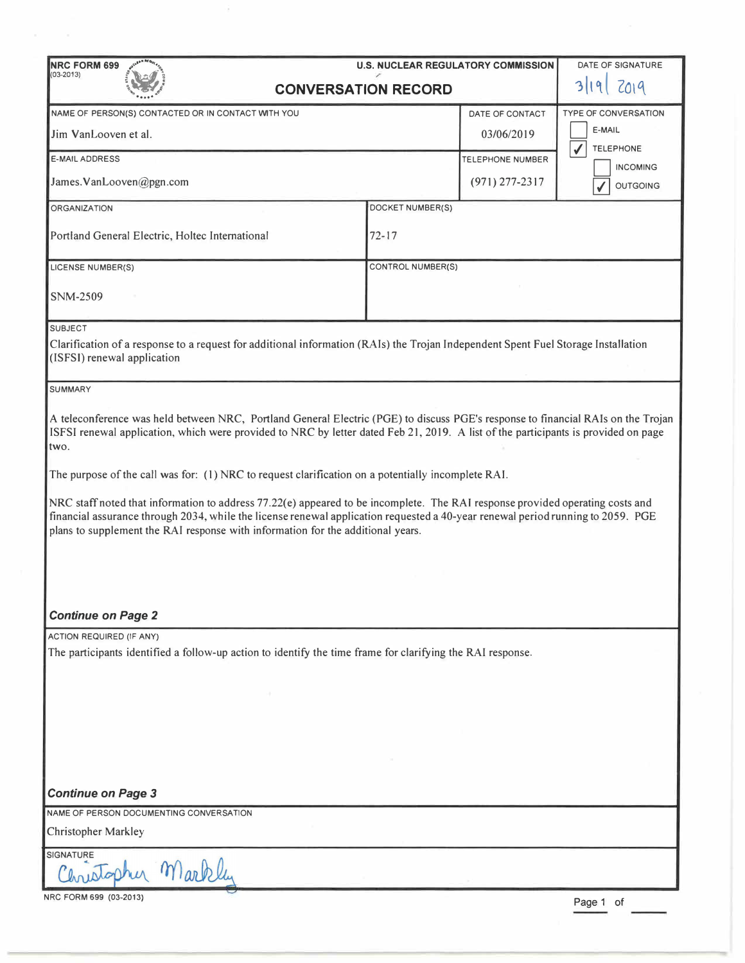| DATE OF SIGNATURE<br><b>NRC FORM 699</b><br><b>U.S. NUCLEAR REGULATORY COMMISSION</b>                                                                                                                                                                                                                                                                                                                                                                                                                                                                                                                                                                                                                                                       |                  |                         |                             |
|---------------------------------------------------------------------------------------------------------------------------------------------------------------------------------------------------------------------------------------------------------------------------------------------------------------------------------------------------------------------------------------------------------------------------------------------------------------------------------------------------------------------------------------------------------------------------------------------------------------------------------------------------------------------------------------------------------------------------------------------|------------------|-------------------------|-----------------------------|
| $(03 - 2013)$<br><b>CONVERSATION RECORD</b>                                                                                                                                                                                                                                                                                                                                                                                                                                                                                                                                                                                                                                                                                                 |                  |                         | 2019                        |
| NAME OF PERSON(S) CONTACTED OR IN CONTACT WITH YOU                                                                                                                                                                                                                                                                                                                                                                                                                                                                                                                                                                                                                                                                                          |                  | DATE OF CONTACT         | <b>TYPE OF CONVERSATION</b> |
| Jim VanLooven et al.                                                                                                                                                                                                                                                                                                                                                                                                                                                                                                                                                                                                                                                                                                                        |                  | 03/06/2019              | E-MAIL<br><b>TELEPHONE</b>  |
| <b>E-MAIL ADDRESS</b>                                                                                                                                                                                                                                                                                                                                                                                                                                                                                                                                                                                                                                                                                                                       |                  | <b>TELEPHONE NUMBER</b> | <b>INCOMING</b>             |
| James.VanLooven@pgn.com                                                                                                                                                                                                                                                                                                                                                                                                                                                                                                                                                                                                                                                                                                                     |                  | $(971)$ 277-2317        | <b>OUTGOING</b>             |
| <b>ORGANIZATION</b>                                                                                                                                                                                                                                                                                                                                                                                                                                                                                                                                                                                                                                                                                                                         | DOCKET NUMBER(S) |                         |                             |
| Portland General Electric, Holtec International                                                                                                                                                                                                                                                                                                                                                                                                                                                                                                                                                                                                                                                                                             | $72 - 17$        |                         |                             |
| <b>CONTROL NUMBER(S)</b><br>LICENSE NUMBER(S)                                                                                                                                                                                                                                                                                                                                                                                                                                                                                                                                                                                                                                                                                               |                  |                         |                             |
| <b>SNM-2509</b>                                                                                                                                                                                                                                                                                                                                                                                                                                                                                                                                                                                                                                                                                                                             |                  |                         |                             |
| <b>SUBJECT</b><br>Clarification of a response to a request for additional information (RAIs) the Trojan Independent Spent Fuel Storage Installation<br>(ISFSI) renewal application                                                                                                                                                                                                                                                                                                                                                                                                                                                                                                                                                          |                  |                         |                             |
| <b>SUMMARY</b>                                                                                                                                                                                                                                                                                                                                                                                                                                                                                                                                                                                                                                                                                                                              |                  |                         |                             |
| A teleconference was held between NRC, Portland General Electric (PGE) to discuss PGE's response to financial RAIs on the Trojan<br>ISFSI renewal application, which were provided to NRC by letter dated Feb 21, 2019. A list of the participants is provided on page<br>two.<br>The purpose of the call was for: (1) NRC to request clarification on a potentially incomplete RAI.<br>NRC staff noted that information to address 77.22(e) appeared to be incomplete. The RAI response provided operating costs and<br>financial assurance through 2034, while the license renewal application requested a 40-year renewal period running to 2059. PGE<br>plans to supplement the RAI response with information for the additional years. |                  |                         |                             |
|                                                                                                                                                                                                                                                                                                                                                                                                                                                                                                                                                                                                                                                                                                                                             |                  |                         |                             |
| <b>Continue on Page 2</b>                                                                                                                                                                                                                                                                                                                                                                                                                                                                                                                                                                                                                                                                                                                   |                  |                         |                             |
| <b>ACTION REQUIRED (IF ANY)</b><br>The participants identified a follow-up action to identify the time frame for clarifying the RAI response.                                                                                                                                                                                                                                                                                                                                                                                                                                                                                                                                                                                               |                  |                         |                             |
| <b>Continue on Page 3</b>                                                                                                                                                                                                                                                                                                                                                                                                                                                                                                                                                                                                                                                                                                                   |                  |                         |                             |
| NAME OF PERSON DOCUMENTING CONVERSATION                                                                                                                                                                                                                                                                                                                                                                                                                                                                                                                                                                                                                                                                                                     |                  |                         |                             |
| <b>Christopher Markley</b>                                                                                                                                                                                                                                                                                                                                                                                                                                                                                                                                                                                                                                                                                                                  |                  |                         |                             |
| <b>SIGNATURE</b>                                                                                                                                                                                                                                                                                                                                                                                                                                                                                                                                                                                                                                                                                                                            |                  |                         |                             |
| Markley                                                                                                                                                                                                                                                                                                                                                                                                                                                                                                                                                                                                                                                                                                                                     |                  |                         |                             |
| NRC FORM 699 (03-2013)<br>Page 1 of                                                                                                                                                                                                                                                                                                                                                                                                                                                                                                                                                                                                                                                                                                         |                  |                         |                             |